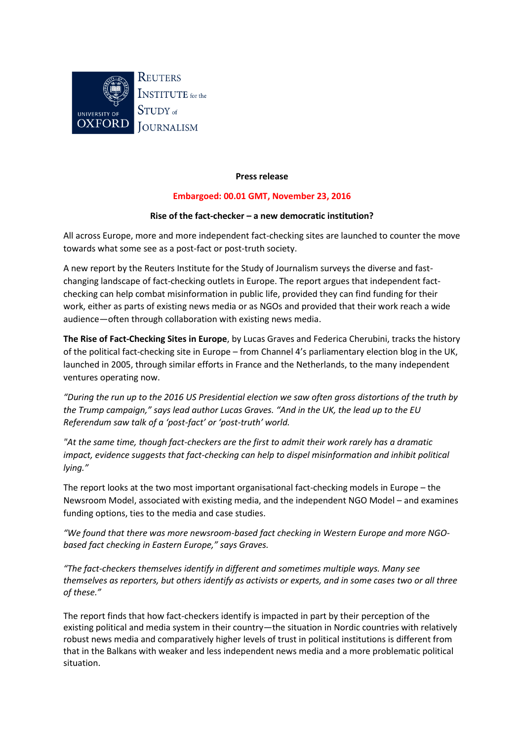

## **Press release**

# **Embargoed: 00.01 GMT, November 23, 2016**

## **Rise of the fact-checker – a new democratic institution?**

All across Europe, more and more independent fact-checking sites are launched to counter the move towards what some see as a post-fact or post-truth society.

A new report by the Reuters Institute for the Study of Journalism surveys the diverse and fastchanging landscape of fact-checking outlets in Europe. The report argues that independent factchecking can help combat misinformation in public life, provided they can find funding for their work, either as parts of existing news media or as NGOs and provided that their work reach a wide audience—often through collaboration with existing news media.

**The Rise of Fact-Checking Sites in Europe**, by Lucas Graves and Federica Cherubini, tracks the history of the political fact-checking site in Europe – from Channel 4's parliamentary election blog in the UK, launched in 2005, through similar efforts in France and the Netherlands, to the many independent ventures operating now.

*"During the run up to the 2016 US Presidential election we saw often gross distortions of the truth by the Trump campaign," says lead author Lucas Graves. "And in the UK, the lead up to the EU Referendum saw talk of a 'post-fact' or 'post-truth' world.* 

*"At the same time, though fact-checkers are the first to admit their work rarely has a dramatic impact, evidence suggests that fact-checking can help to dispel misinformation and inhibit political lying."*

The report looks at the two most important organisational fact-checking models in Europe – the Newsroom Model, associated with existing media, and the independent NGO Model – and examines funding options, ties to the media and case studies.

*"We found that there was more newsroom-based fact checking in Western Europe and more NGObased fact checking in Eastern Europe," says Graves.* 

*"The fact-checkers themselves identify in different and sometimes multiple ways. Many see themselves as reporters, but others identify as activists or experts, and in some cases two or all three of these."*

The report finds that how fact-checkers identify is impacted in part by their perception of the existing political and media system in their country—the situation in Nordic countries with relatively robust news media and comparatively higher levels of trust in political institutions is different from that in the Balkans with weaker and less independent news media and a more problematic political situation.